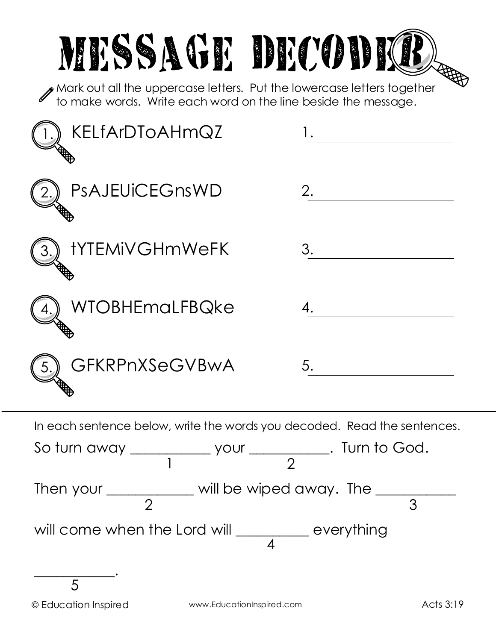| MESSAGE DECODICE<br>Mark out all the uppercase letters. Put the lowercase letters together<br>to make words. Write each word on the line beside the message. |    |
|--------------------------------------------------------------------------------------------------------------------------------------------------------------|----|
| KELfArDToAHmQZ                                                                                                                                               |    |
| PsAJEUiCEGnsWD                                                                                                                                               | 2. |
| <b><i>IYTEMIVGHmWeFK</i></b>                                                                                                                                 | 3. |
| WTOBHEmaLFBQke                                                                                                                                               |    |
| GFKRPnXSeGVBwA                                                                                                                                               | 5. |
| In each sentence below, write the words you decoded. Read the sentences.                                                                                     |    |
| So turn away ____________ your ____________. Turn to God.                                                                                                    |    |
| Then your $\frac{1}{2}$ will be wiped away. The $\frac{1}{3}$                                                                                                |    |
| will come when the Lord will __________ everything                                                                                                           |    |

\_\_\_\_\_\_\_\_\_\_\_.